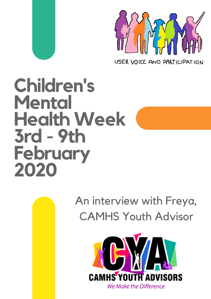

USER VOICE AND PARTICIPATION

# **Children's Mental Health Week 3rd - 9th February 2020**

An interview with Freya, CAMHS Youth Advisor

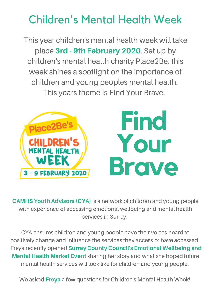This year children's mental health week will take place 3rd - 9th February 2020. Set up by children's mental health charity Place2Be, this week shines a spotlight on the importance of children and young peoples mental health. This years theme is Find Your Brave.



CAMHS Youth Advisors (CYA) is a network of children and young people with experience of accessing emotional wellbeing and mental health services in Surrey.

CYA ensures children and young people have their voices heard to positively change and influence the services they access or have accessed. Freya recently opened Surrey County Council's Emotional Wellbeing and Mental Health Market Event sharing her story and what she hoped future mental health services will look like for children and young people.

We asked Freya a few questions for Children's Mental Health Week!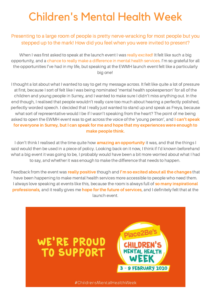#### Presenting to a large room of people is pretty nerve-wracking for most people but you stepped up to the mark! How did you feel when you were invited to present?

When I was first asked to speak at the launch event I was really excited! It felt like such a big opportunity, and a chance to really make a difference in mental health services. I'm so grateful for all the opportunities I've had in my life, but speaking at the EWMH launch event felt like a particularly big one!

I thought a lot about what I wanted to say to get my message across. It felt like quite a lot of pressure at first, because I sort of felt like I was being nominated 'mental health spokesperson' for all of the children and young people in Surrey, and I wanted to make sure I didn't miss anything out. In the end though, I realised that people wouldn't really care too much about hearing a perfectly polished, perfectly worded speech. I decided that I really just wanted to stand up and speak as Freya, because what sort of representative would I be if I wasn't speaking from the heart? The point of me being asked to open the EWMH event was to get across the voice of the 'young person', and I can't speak for everyone in Surrey, but I can speak for me and hope that my experiences were enough to make people think.

I don't think I realised at the time quite how **amazing an opportunity** it was, and that the things I said would then be used in a piece of policy. Looking back on it now, I think if I'd known beforehand what a big event it was going to be, I probably would have been a bit more worried about what I had to say, and whether it was enough to make the difference that needs to happen.

Feedback from the event was really positive though and I'm so excited about all the changes that have been happening to make mental health services more accessible to people who need them. I always love speaking at events like this, because the room is always full of so many inspirational professionals, and it really gives me hope for the future of services, and I definitely felt that at the launch event.

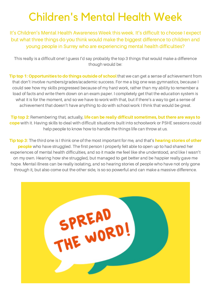It's Children's Mental Health Awareness Week this week. It's difficult to choose I expect but what three things do you think would make the biggest difference to children and young people in Surrey who are experiencing mental health difficulties?

This really is a difficult one! I guess I'd say probably the top 3 things that would make a difference though would be:

Tip top 1: Opportunities to do things outside of school that we can get a sense of achievement from that don't involve numbers/grades/academic success. For me a big one was gymnastics, because I could see how my skills progressed because of my hard work, rather than my ability to remember a load of facts and write them down on an exam paper. I completely get that the education system is what it is for the moment, and so we have to work with that, but if there's a way to get a sense of achievement that doesn't have anything to do with school work I think that would be great.

Tip top 2: Remembering that, actually, life can be really difficult sometimes, but there are ways to cope with it. Having skills to deal with difficult situations built into schoolwork or PSHE sessions could help people to know how to handle the things life can throw at us.

Tip top 3: The third one is I think one of the most important for me, and that's hearing stories of other **people** who have struggled. The first person I properly felt able to open up to had shared her experiences of mental health difficulties, and so it made me feel like she understood, and like I wasn't on my own. Hearing how she struggled, but managed to get better and be happier really gave me hope. Mental illness can be really isolating, and so hearing stories of people who have not only gone through it, but also come out the other side, is so so powerful and can make a massive difference.

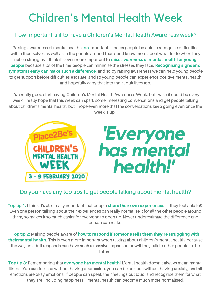#### How important is it to have a Children's Mental Health Awareness week?

Raising awareness of mental health is so important. It helps people be able to recognise difficulties within themselves as well as in the people around them, and know more about what to do when they notice struggles. I think it's even more important to raise awareness of mental health for young people because a lot of the time people can minimise the stresses they face. Recognising signs and symptoms early can make such a difference, and so by raising awareness we can help young people to get support before difficulties escalate, and so young people can experience positive mental health and hopefully carry that into their adult lives too.

It's a really good start having Children's Mental Health Awareness Week, but I wish it could be every week! I really hope that this week can spark some interesting conversations and get people talking about children's mental health, but I hope even more that the conversations keep going even once the week is up.



#### Do you have any top tips to get people talking about mental health?

Top tip 1: I think it's also really important that people share their own experiences (if they feel able to!). Even one person talking about their experiences can really normalise it for all the other people around them, so makes it so much easier for everyone to open up. Never underestimate the difference one person can make.

Top tip 2: Making people aware of how to respond if someone tells them they're struggling with their mental health. This is even more important when talking about children's mental health, because the way an adult responds can have such a massive impact on how/if they talk to other people in the future.

Top tip 3: Remembering that everyone has mental health! Mental health doesn't always mean mental illness. You can feel sad without having depression, you can be anxious without having anxiety, and all emotions are okay emotions. If people can speak their feelings out loud, and recognise them for what they are (including happiness!), mental health can become much more normalised.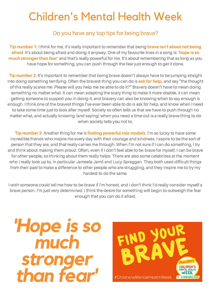#### Do you have any top tips for being brave?

Tip number 1: I think for me, it's really important to remember that being brave isn't about not being afraid. It's about being afraid and doing it anyway. One of my favourite lines in a song is: 'hope is so much stronger than fear' and that's really powerful for me. It's about remembering that as long as you have hope for something, you can push through the fear just enough to get it done.

**Tip number 2:** It's important to remember that being brave doesn't always have to be jumping straight into doing something terrifying. Often the bravest thing you can do is ask for help, and say "the thought of this really scares me. Please will you help me be able to do it?" Bravery doesn't have to mean doing something no matter what. It can mean adapting the scary thing to make it more doable, it can mean getting someone to support you in doing it, and bravery can also be knowing when to say enough is enough. I think one of the bravest things I've ever been able to do is ask for help, and know when I need to take some time just to look after myself. Society so often tells us that we have to push through no matter what, and actually knowing (and saying) when you need a time out is a really brave thing to do when society tells you not to.

Tip number 3: Another thing for me is finding powerful role models. I'm so lucky to have some incredible friends who inspire me every day with their courage and kindness. I aspire to be the sort of person that they are, and that really carries me through. When I'm not sure if I can do something, I try and think about making them proud. Often, even if I don't feel able to be brave for myself, I can be brave for other people, so thinking about them really helps. There are also some celebrities at the moment who I really look up to, in particular Jameela Jamil and Lucy Spraggan. They both used difficult things from their past to make a difference to other people who are struggling, and they inspire me to try my hardest to do the same.

I wish someone could tell me how to be brave if I'm honest, and I don't think I'd really consider myself a brave person. I'm just very determined. I think the desire for something will begin to outweigh the fear enough that you can do it afraid.

*'Hope is so much stronger than fear'*